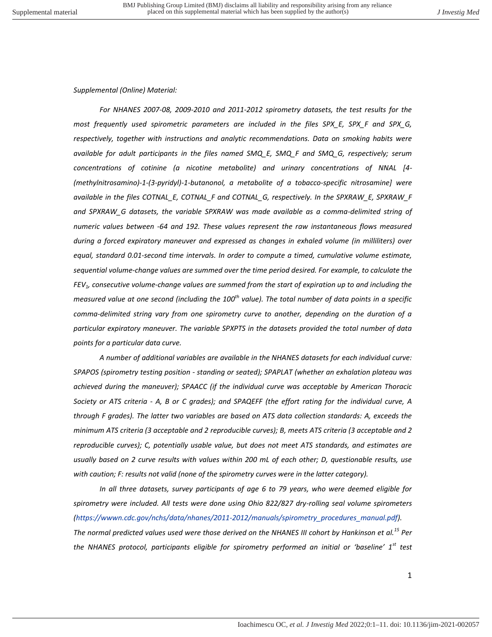## *Supplemental (Online) Material:*

*For NHANES 2007-08, 2009-2010 and 2011-2012 spirometry datasets, the test results for the most frequently used spirometric parameters are included in the files SPX\_E, SPX\_F and SPX\_G, respectively, together with instructions and analytic recommendations. Data on smoking habits were available for adult participants in the files named SMQ\_E, SMQ\_F and SMQ\_G, respectively; serum concentrations of cotinine (a nicotine metabolite) and urinary concentrations of NNAL [4- (methylnitrosamino)-1-(3-pyridyl)-1-butanonol, a metabolite of a tobacco-specific nitrosamine] were available in the files COTNAL\_E, COTNAL\_F and COTNAL\_G, respectively. In the SPXRAW\_E, SPXRAW\_F and SPXRAW\_G datasets, the variable SPXRAW was made available as a comma-delimited string of numeric values between -64 and 192. These values represent the raw instantaneous flows measured during a forced expiratory maneuver and expressed as changes in exhaled volume (in milliliters) over equal, standard 0.01-second time intervals. In order to compute a timed, cumulative volume estimate, sequential volume-change values are summed over the time period desired. For example, to calculate the FEV1, consecutive volume-change values are summed from the start of expiration up to and including the measured value at one second (including the 100th value). The total number of data points in a specific comma-delimited string vary from one spirometry curve to another, depending on the duration of a particular expiratory maneuver. The variable SPXPTS in the datasets provided the total number of data points for a particular data curve.* 

*A number of additional variables are available in the NHANES datasets for each individual curve: SPAPOS (spirometry testing position - standing or seated); SPAPLAT (whether an exhalation plateau was achieved during the maneuver); SPAACC (if the individual curve was acceptable by American Thoracic Society or ATS criteria - A, B or C grades); and SPAQEFF (the effort rating for the individual curve, A through F grades). The latter two variables are based on ATS data collection standards: A, exceeds the minimum ATS criteria (3 acceptable and 2 reproducible curves); B, meets ATS criteria (3 acceptable and 2 reproducible curves); C, potentially usable value, but does not meet ATS standards, and estimates are usually based on 2 curve results with values within 200 mL of each other; D, questionable results, use with caution; F: results not valid (none of the spirometry curves were in the latter category).* 

*In all three datasets, survey participants of age 6 to 79 years, who were deemed eligible for spirometry were included. All tests were done using Ohio 822/827 dry-rolling seal volume spirometers [\(https://wwwn.cdc.gov/nchs/data/nhanes/2011-2012/manuals/spirometry\\_procedures\\_manual.pdf\)](https://wwwn.cdc.gov/nchs/data/nhanes/2011-2012/manuals/spirometry_procedures_manual.pdf).* 

*The normal predicted values used were those derived on the NHANES III cohort by Hankinson et al.<sup>15</sup> Per the NHANES protocol, participants eligible for spirometry performed an initial or 'baseline' 1st test*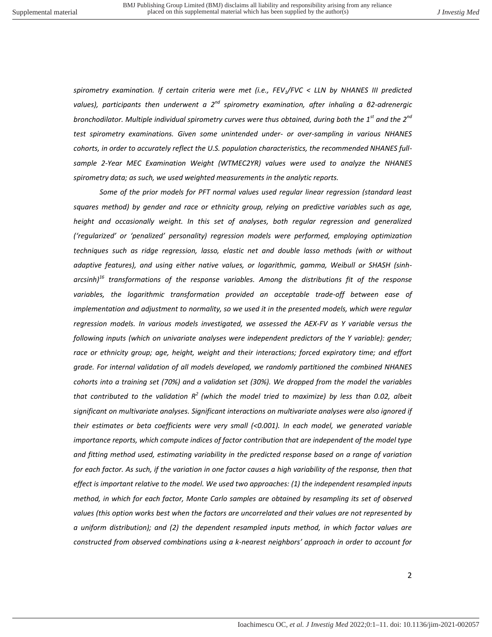*spirometry examination. If certain criteria were met (i.e., FEV1/FVC < LLN by NHANES III predicted values), participants then underwent a 2nd spirometry examination, after inhaling a β2-adrenergic bronchodilator. Multiple individual spirometry curves were thus obtained, during both the 1st and the 2nd test spirometry examinations. Given some unintended under- or over-sampling in various NHANES cohorts, in order to accurately reflect the U.S. population characteristics, the recommended NHANES fullsample 2-Year MEC Examination Weight (WTMEC2YR) values were used to analyze the NHANES spirometry data; as such, we used weighted measurements in the analytic reports.* 

*Some of the prior models for PFT normal values used regular linear regression (standard least squares method) by gender and race or ethnicity group, relying on predictive variables such as age,*  height and occasionally weight. In this set of analyses, both regular regression and generalized *('regularized' or 'penalized' personality) regression models were performed, employing optimization techniques such as ridge regression, lasso, elastic net and double lasso methods (with or without adaptive features), and using either native values, or logarithmic, gamma, Weibull or SHASH (sinharcsinh)<sup>16</sup> transformations of the response variables. Among the distributions fit of the response variables, the logarithmic transformation provided an acceptable trade-off between ease of implementation and adjustment to normality, so we used it in the presented models, which were regular regression models. In various models investigated, we assessed the AEX-FV as Y variable versus the following inputs (which on univariate analyses were independent predictors of the Y variable): gender;*  race or ethnicity group; age, height, weight and their interactions; forced expiratory time; and effort *grade. For internal validation of all models developed, we randomly partitioned the combined NHANES cohorts into a training set (70%) and a validation set (30%). We dropped from the model the variables that contributed to the validation R<sup>2</sup>(which the model tried to maximize) by less than 0.02, albeit significant on multivariate analyses. Significant interactions on multivariate analyses were also ignored if their estimates or beta coefficients were very small (<0.001). In each model, we generated variable importance reports, which compute indices of factor contribution that are independent of the model type and fitting method used, estimating variability in the predicted response based on a range of variation for each factor. As such, if the variation in one factor causes a high variability of the response, then that effect is important relative to the model. We used two approaches: (1) the independent resampled inputs method, in which for each factor, Monte Carlo samples are obtained by resampling its set of observed values (this option works best when the factors are uncorrelated and their values are not represented by a uniform distribution); and (2) the dependent resampled inputs method, in which factor values are constructed from observed combinations using a k-nearest neighbors' approach in order to account for*